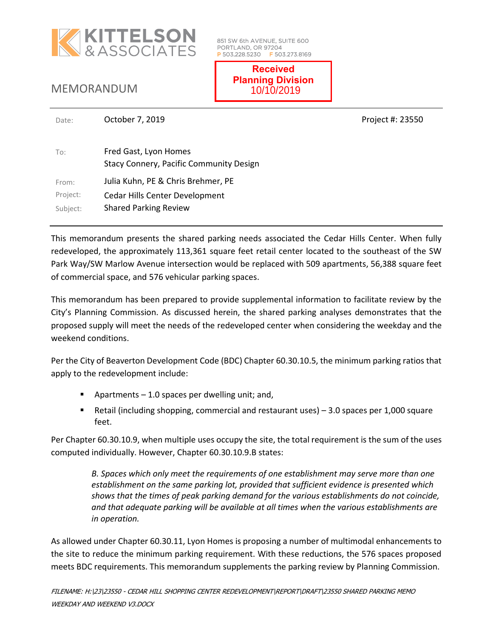

851 SW 6th AVENUE, SUITE 600 PORTLAND, OR 97204 P 503.228.5230 F 503.273.8169

MEMORANDUM

**Received Planning Division** 10/10/2019

| To:      | Fred Gast, Lyon Homes<br><b>Stacy Connery, Pacific Community Design</b> |
|----------|-------------------------------------------------------------------------|
| From:    | Julia Kuhn, PE & Chris Brehmer, PE                                      |
| Project: | Cedar Hills Center Development                                          |
| Subject: | <b>Shared Parking Review</b>                                            |

This memorandum presents the shared parking needs associated the Cedar Hills Center. When fully redeveloped, the approximately 113,361 square feet retail center located to the southeast of the SW Park Way/SW Marlow Avenue intersection would be replaced with 509 apartments, 56,388 square feet of commercial space, and 576 vehicular parking spaces.

This memorandum has been prepared to provide supplemental information to facilitate review by the City's Planning Commission. As discussed herein, the shared parking analyses demonstrates that the proposed supply will meet the needs of the redeveloped center when considering the weekday and the weekend conditions.

Per the City of Beaverton Development Code (BDC) Chapter 60.30.10.5, the minimum parking ratios that apply to the redevelopment include:

- Apartments  $-1.0$  spaces per dwelling unit; and,
- Retail (including shopping, commercial and restaurant uses)  $-3.0$  spaces per 1,000 square feet.

Per Chapter 60.30.10.9, when multiple uses occupy the site, the total requirement is the sum of the uses computed individually. However, Chapter 60.30.10.9.B states:

> *B. Spaces which only meet the requirements of one establishment may serve more than one establishment on the same parking lot, provided that sufficient evidence is presented which shows that the times of peak parking demand for the various establishments do not coincide, and that adequate parking will be available at all times when the various establishments are in operation.*

As allowed under Chapter 60.30.11, Lyon Homes is proposing a number of multimodal enhancements to the site to reduce the minimum parking requirement. With these reductions, the 576 spaces proposed meets BDC requirements. This memorandum supplements the parking review by Planning Commission.

Date: **October 7, 2019 Project #: 23550 Project #: 23550**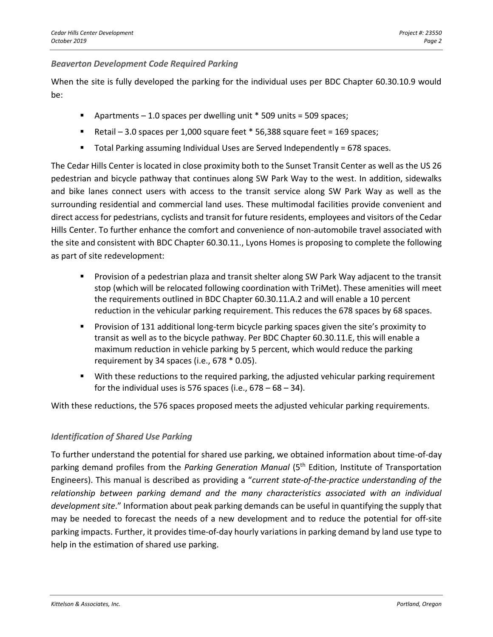### *Beaverton Development Code Required Parking*

When the site is fully developed the parking for the individual uses per BDC Chapter 60.30.10.9 would be:

- **•** Apartments  $-1.0$  spaces per dwelling unit  $*$  509 units = 509 spaces;
- Retail 3.0 spaces per 1,000 square feet \* 56,388 square feet = 169 spaces;
- Total Parking assuming Individual Uses are Served Independently = 678 spaces.

The Cedar Hills Center is located in close proximity both to the Sunset Transit Center as well as the US 26 pedestrian and bicycle pathway that continues along SW Park Way to the west. In addition, sidewalks and bike lanes connect users with access to the transit service along SW Park Way as well as the surrounding residential and commercial land uses. These multimodal facilities provide convenient and direct access for pedestrians, cyclists and transit for future residents, employees and visitors of the Cedar Hills Center. To further enhance the comfort and convenience of non-automobile travel associated with the site and consistent with BDC Chapter 60.30.11., Lyons Homes is proposing to complete the following as part of site redevelopment:

- Provision of a pedestrian plaza and transit shelter along SW Park Way adjacent to the transit stop (which will be relocated following coordination with TriMet). These amenities will meet the requirements outlined in BDC Chapter 60.30.11.A.2 and will enable a 10 percent reduction in the vehicular parking requirement. This reduces the 678 spaces by 68 spaces.
- Provision of 131 additional long-term bicycle parking spaces given the site's proximity to transit as well as to the bicycle pathway. Per BDC Chapter 60.30.11.E, this will enable a maximum reduction in vehicle parking by 5 percent, which would reduce the parking requirement by 34 spaces (i.e., 678 \* 0.05).
- With these reductions to the required parking, the adjusted vehicular parking requirement for the individual uses is 576 spaces (i.e.,  $678 - 68 - 34$ ).

With these reductions, the 576 spaces proposed meets the adjusted vehicular parking requirements.

# *Identification of Shared Use Parking*

To further understand the potential for shared use parking, we obtained information about time-of-day parking demand profiles from the *Parking Generation Manual* (5th Edition, Institute of Transportation Engineers). This manual is described as providing a "*current state-of-the-practice understanding of the relationship between parking demand and the many characteristics associated with an individual development site*." Information about peak parking demands can be useful in quantifying the supply that may be needed to forecast the needs of a new development and to reduce the potential for off-site parking impacts. Further, it provides time-of-day hourly variations in parking demand by land use type to help in the estimation of shared use parking.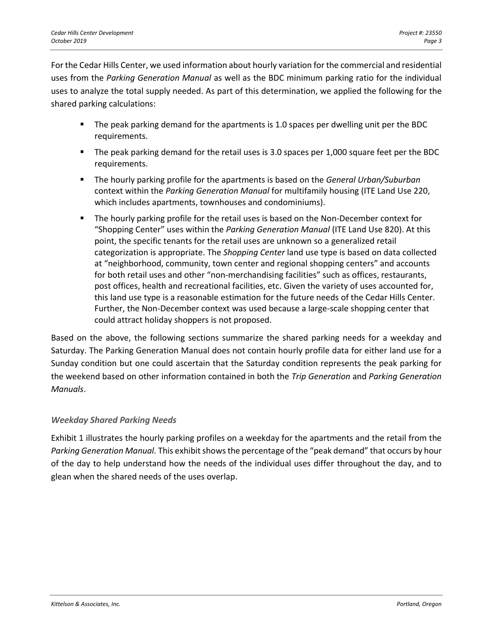For the Cedar Hills Center, we used information about hourly variation for the commercial and residential uses from the *Parking Generation Manual* as well as the BDC minimum parking ratio for the individual uses to analyze the total supply needed. As part of this determination, we applied the following for the shared parking calculations:

- The peak parking demand for the apartments is 1.0 spaces per dwelling unit per the BDC requirements.
- The peak parking demand for the retail uses is 3.0 spaces per 1,000 square feet per the BDC requirements.
- The hourly parking profile for the apartments is based on the *General Urban/Suburban* context within the *Parking Generation Manual* for multifamily housing (ITE Land Use 220, which includes apartments, townhouses and condominiums).
- The hourly parking profile for the retail uses is based on the Non-December context for "Shopping Center" uses within the *Parking Generation Manual* (ITE Land Use 820). At this point, the specific tenants for the retail uses are unknown so a generalized retail categorization is appropriate. The *Shopping Center* land use type is based on data collected at "neighborhood, community, town center and regional shopping centers" and accounts for both retail uses and other "non-merchandising facilities" such as offices, restaurants, post offices, health and recreational facilities, etc. Given the variety of uses accounted for, this land use type is a reasonable estimation for the future needs of the Cedar Hills Center. Further, the Non-December context was used because a large-scale shopping center that could attract holiday shoppers is not proposed.

Based on the above, the following sections summarize the shared parking needs for a weekday and Saturday. The Parking Generation Manual does not contain hourly profile data for either land use for a Sunday condition but one could ascertain that the Saturday condition represents the peak parking for the weekend based on other information contained in both the *Trip Generation* and *Parking Generation Manuals*.

# *Weekday Shared Parking Needs*

Exhibit 1 illustrates the hourly parking profiles on a weekday for the apartments and the retail from the *Parking Generation Manual.* This exhibit shows the percentage of the "peak demand" that occurs by hour of the day to help understand how the needs of the individual uses differ throughout the day, and to glean when the shared needs of the uses overlap.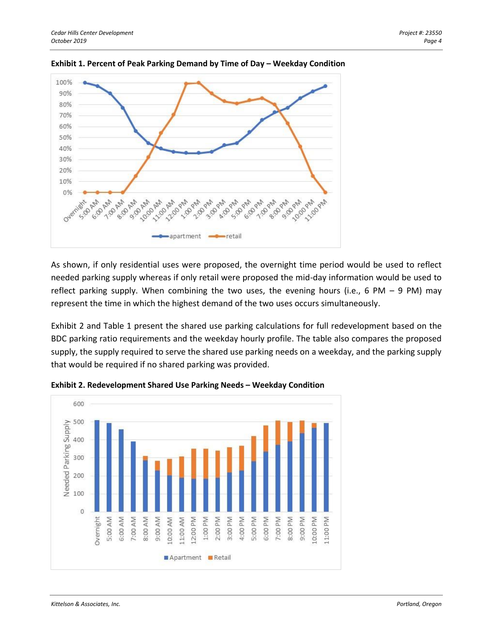



As shown, if only residential uses were proposed, the overnight time period would be used to reflect needed parking supply whereas if only retail were proposed the mid-day information would be used to reflect parking supply. When combining the two uses, the evening hours (i.e., 6 PM  $-$  9 PM) may represent the time in which the highest demand of the two uses occurs simultaneously.

Exhibit 2 and Table 1 present the shared use parking calculations for full redevelopment based on the BDC parking ratio requirements and the weekday hourly profile. The table also compares the proposed supply, the supply required to serve the shared use parking needs on a weekday, and the parking supply that would be required if no shared parking was provided.



**Exhibit 2. Redevelopment Shared Use Parking Needs – Weekday Condition**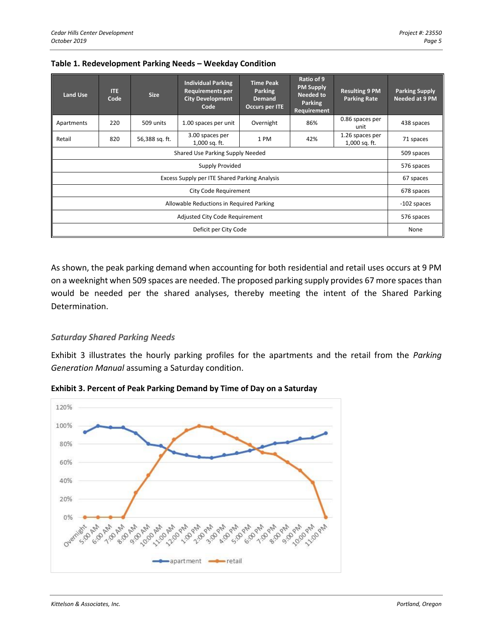| <b>Land Use</b>                               | <b>ITE</b><br>Code | <b>Size</b>    | <b>Individual Parking</b><br><b>Requirements per</b><br><b>City Development</b><br>Code | <b>Time Peak</b><br><b>Parking</b><br><b>Demand</b><br>Occurs per ITE | Ratio of 9<br><b>PM Supply</b><br>Needed to<br>Parking<br>Requirement | <b>Resulting 9 PM</b><br><b>Parking Rate</b> | <b>Parking Supply</b><br>Needed at 9 PM |
|-----------------------------------------------|--------------------|----------------|-----------------------------------------------------------------------------------------|-----------------------------------------------------------------------|-----------------------------------------------------------------------|----------------------------------------------|-----------------------------------------|
| Apartments                                    | 220                | 509 units      | 1.00 spaces per unit                                                                    | Overnight                                                             | 86%                                                                   | 0.86 spaces per<br>unit                      | 438 spaces                              |
| Retail                                        | 820                | 56,388 sq. ft. | 3.00 spaces per<br>1,000 sq. ft.                                                        | 1 PM                                                                  | 42%                                                                   | 1.26 spaces per<br>1,000 sq. ft.             | 71 spaces                               |
| Shared Use Parking Supply Needed              |                    |                |                                                                                         |                                                                       |                                                                       |                                              |                                         |
| <b>Supply Provided</b>                        |                    |                |                                                                                         |                                                                       |                                                                       |                                              | 576 spaces                              |
| Excess Supply per ITE Shared Parking Analysis |                    |                |                                                                                         |                                                                       |                                                                       |                                              | 67 spaces                               |
| City Code Requirement                         |                    |                |                                                                                         |                                                                       |                                                                       |                                              | 678 spaces                              |
| Allowable Reductions in Required Parking      |                    |                |                                                                                         |                                                                       |                                                                       |                                              | -102 spaces                             |
| Adjusted City Code Requirement                |                    |                |                                                                                         |                                                                       |                                                                       |                                              | 576 spaces                              |
| Deficit per City Code                         |                    |                |                                                                                         |                                                                       |                                                                       |                                              | None                                    |

#### **Table 1. Redevelopment Parking Needs – Weekday Condition**

As shown, the peak parking demand when accounting for both residential and retail uses occurs at 9 PM on a weeknight when 509 spaces are needed. The proposed parking supply provides 67 more spaces than would be needed per the shared analyses, thereby meeting the intent of the Shared Parking Determination.

# *Saturday Shared Parking Needs*

Exhibit 3 illustrates the hourly parking profiles for the apartments and the retail from the *Parking Generation Manual* assuming a Saturday condition.



**Exhibit 3. Percent of Peak Parking Demand by Time of Day on a Saturday**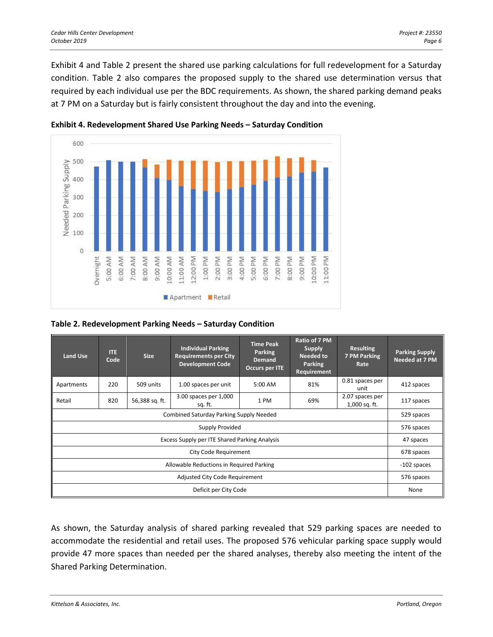Exhibit 4 and Table 2 present the shared use parking calculations for full redevelopment for a Saturday condition. Table 2 also compares the proposed supply to the shared use determination versus that required by each individual use per the BDC requirements. As shown, the shared parking demand peaks at 7 PM on a Saturday but is fairly consistent throughout the day and into the evening.





### **Table 2. Redevelopment Parking Needs – Saturday Condition**

| <b>Land Use</b>                               | <b>ITE</b><br>Code | <b>Size</b>    | <b>Individual Parking</b><br><b>Requirements per City</b><br><b>Development Code</b> | <b>Time Peak</b><br><b>Parking</b><br><b>Demand</b><br>Occurs per ITE | Ratio of 7 PM<br><b>Supply</b><br>Needed to<br><b>Parking</b><br>Requirement | <b>Resulting</b><br>7 PM Parking<br>Rate | <b>Parking Supply</b><br>Needed at 7 PM |
|-----------------------------------------------|--------------------|----------------|--------------------------------------------------------------------------------------|-----------------------------------------------------------------------|------------------------------------------------------------------------------|------------------------------------------|-----------------------------------------|
| Apartments                                    | 220                | 509 units      | 1.00 spaces per unit                                                                 | 5:00 AM                                                               | 81%                                                                          | 0.81 spaces per<br>unit                  | 412 spaces                              |
| Retail                                        | 820                | 56,388 sq. ft. | 3.00 spaces per 1,000<br>sq. ft.                                                     | 1 PM                                                                  | 69%                                                                          | 2.07 spaces per<br>1,000 sq. ft.         | 117 spaces                              |
| Combined Saturday Parking Supply Needed       |                    |                |                                                                                      |                                                                       |                                                                              |                                          |                                         |
| <b>Supply Provided</b>                        |                    |                |                                                                                      |                                                                       |                                                                              |                                          | 576 spaces                              |
| Excess Supply per ITE Shared Parking Analysis |                    |                |                                                                                      |                                                                       |                                                                              |                                          | 47 spaces                               |
| City Code Requirement                         |                    |                |                                                                                      |                                                                       |                                                                              |                                          | 678 spaces                              |
| Allowable Reductions in Required Parking      |                    |                |                                                                                      |                                                                       |                                                                              |                                          | -102 spaces                             |
| Adjusted City Code Requirement                |                    |                |                                                                                      |                                                                       |                                                                              |                                          | 576 spaces                              |
| Deficit per City Code                         |                    |                |                                                                                      |                                                                       |                                                                              |                                          | None                                    |

As shown, the Saturday analysis of shared parking revealed that 529 parking spaces are needed to accommodate the residential and retail uses. The proposed 576 vehicular parking space supply would provide 47 more spaces than needed per the shared analyses, thereby also meeting the intent of the Shared Parking Determination.